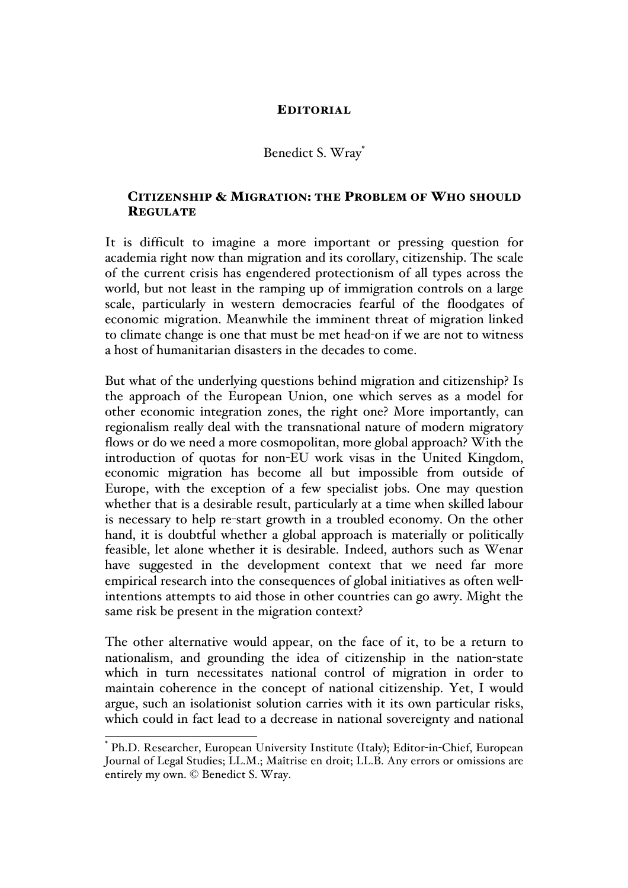# EDITORIAL

# Benedict S. Wray\*

## CITIZENSHIP & MIGRATION: THE PROBLEM OF WHO SHOULD **REGULATE**

It is difficult to imagine a more important or pressing question for academia right now than migration and its corollary, citizenship. The scale of the current crisis has engendered protectionism of all types across the world, but not least in the ramping up of immigration controls on a large scale, particularly in western democracies fearful of the floodgates of economic migration. Meanwhile the imminent threat of migration linked to climate change is one that must be met head-on if we are not to witness a host of humanitarian disasters in the decades to come.

But what of the underlying questions behind migration and citizenship? Is the approach of the European Union, one which serves as a model for other economic integration zones, the right one? More importantly, can regionalism really deal with the transnational nature of modern migratory flows or do we need a more cosmopolitan, more global approach? With the introduction of quotas for non-EU work visas in the United Kingdom, economic migration has become all but impossible from outside of Europe, with the exception of a few specialist jobs. One may question whether that is a desirable result, particularly at a time when skilled labour is necessary to help re-start growth in a troubled economy. On the other hand, it is doubtful whether a global approach is materially or politically feasible, let alone whether it is desirable. Indeed, authors such as Wenar have suggested in the development context that we need far more empirical research into the consequences of global initiatives as often wellintentions attempts to aid those in other countries can go awry. Might the same risk be present in the migration context?

The other alternative would appear, on the face of it, to be a return to nationalism, and grounding the idea of citizenship in the nation-state which in turn necessitates national control of migration in order to maintain coherence in the concept of national citizenship. Yet, I would argue, such an isolationist solution carries with it its own particular risks, which could in fact lead to a decrease in national sovereignty and national

 <sup>\*</sup> Ph.D. Researcher, European University Institute (Italy); Editor-in-Chief, European Journal of Legal Studies; LL.M.; Maîtrise en droit; LL.B. Any errors or omissions are entirely my own. © Benedict S. Wray.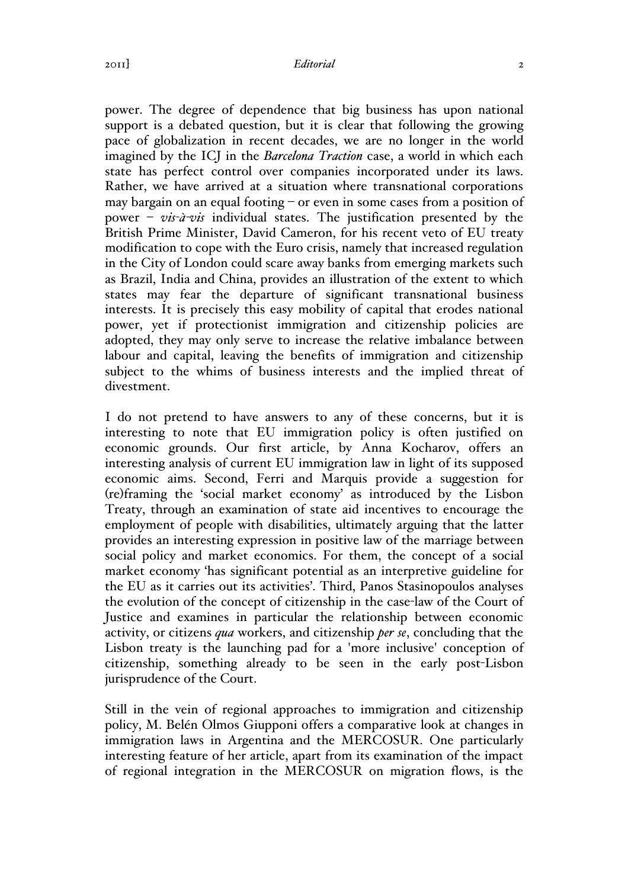#### 2011] *Editorial* 2

power. The degree of dependence that big business has upon national support is a debated question, but it is clear that following the growing pace of globalization in recent decades, we are no longer in the world imagined by the ICJ in the *Barcelona Traction* case, a world in which each state has perfect control over companies incorporated under its laws. Rather, we have arrived at a situation where transnational corporations may bargain on an equal footing – or even in some cases from a position of power – *vis-à-vis* individual states. The justification presented by the British Prime Minister, David Cameron, for his recent veto of EU treaty modification to cope with the Euro crisis, namely that increased regulation in the City of London could scare away banks from emerging markets such as Brazil, India and China, provides an illustration of the extent to which states may fear the departure of significant transnational business interests. It is precisely this easy mobility of capital that erodes national power, yet if protectionist immigration and citizenship policies are adopted, they may only serve to increase the relative imbalance between labour and capital, leaving the benefits of immigration and citizenship subject to the whims of business interests and the implied threat of divestment.

I do not pretend to have answers to any of these concerns, but it is interesting to note that EU immigration policy is often justified on economic grounds. Our first article, by Anna Kocharov, offers an interesting analysis of current EU immigration law in light of its supposed economic aims. Second, Ferri and Marquis provide a suggestion for (re)framing the 'social market economy' as introduced by the Lisbon Treaty, through an examination of state aid incentives to encourage the employment of people with disabilities, ultimately arguing that the latter provides an interesting expression in positive law of the marriage between social policy and market economics. For them, the concept of a social market economy 'has significant potential as an interpretive guideline for the EU as it carries out its activities'. Third, Panos Stasinopoulos analyses the evolution of the concept of citizenship in the case-law of the Court of Justice and examines in particular the relationship between economic activity, or citizens *qua* workers, and citizenship *per se*, concluding that the Lisbon treaty is the launching pad for a 'more inclusive' conception of citizenship, something already to be seen in the early post-Lisbon jurisprudence of the Court.

Still in the vein of regional approaches to immigration and citizenship policy, M. Belén Olmos Giupponi offers a comparative look at changes in immigration laws in Argentina and the MERCOSUR. One particularly interesting feature of her article, apart from its examination of the impact of regional integration in the MERCOSUR on migration flows, is the